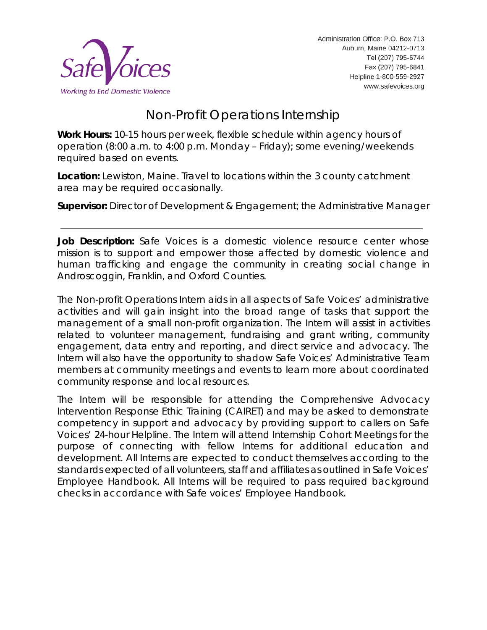

# Non-Profit Operations Internship

**Work Hours:** 10-15 hours per week, flexible schedule within agency hours of operation (8:00 a.m. to 4:00 p.m. Monday – Friday); some evening/weekends required based on events.

**Location:** Lewiston, Maine. Travel to locations within the 3 county catchment area may be required occasionally.

**Supervisor:** Director of Development & Engagement; the Administrative Manager

**Job Description:** Safe Voices is a domestic violence resource center whose mission is to support and empower those affected by domestic violence and human trafficking and engage the community in creating social change in Androscoggin, Franklin, and Oxford Counties.

The Non-profit Operations Intern aids in all aspects of Safe Voices' administrative activities and will gain insight into the broad range of tasks that support the management of a small non-profit organization. The Intern will assist in activities related to volunteer management, fundraising and grant writing, community engagement, data entry and reporting, and direct service and advocacy. The Intern will also have the opportunity to shadow Safe Voices' Administrative Team members at community meetings and events to learn more about coordinated community response and local resources.

The Intern will be responsible for attending the Comprehensive Advocacy Intervention Response Ethic Training (CAIRET) and may be asked to demonstrate competency in support and advocacy by providing support to callers on Safe Voices' 24-hour Helpline. The Intern will attend Internship Cohort Meetings for the purpose of connecting with fellow Interns for additional education and development. All Interns are expected to conduct themselves according to the standards expected of all volunteers, staff and affiliates as outlined in Safe Voices' Employee Handbook. All Interns will be required to pass required background checks in accordance with Safe voices' Employee Handbook.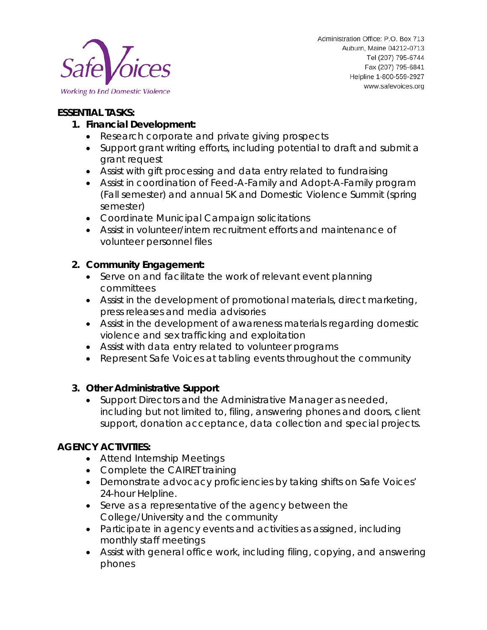

## **ESSENTIAL TASKS:**

## **1. Financial Development:**

- Research corporate and private giving prospects
- Support grant writing efforts, including potential to draft and submit a grant request
- Assist with gift processing and data entry related to fundraising
- Assist in coordination of Feed-A-Family and Adopt-A-Family program (Fall semester) and annual 5K and Domestic Violence Summit (spring semester)
- Coordinate Municipal Campaign solicitations
- Assist in volunteer/intern recruitment efforts and maintenance of volunteer personnel files

## **2. Community Engagement:**

- Serve on and facilitate the work of relevant event planning committees
- Assist in the development of promotional materials, direct marketing, press releases and media advisories
- Assist in the development of awareness materials regarding domestic violence and sex trafficking and exploitation
- Assist with data entry related to volunteer programs
- Represent Safe Voices at tabling events throughout the community

### **3. Other Administrative Support**

• Support Directors and the Administrative Manager as needed, including but not limited to, filing, answering phones and doors, client support, donation acceptance, data collection and special projects.

### **AGENCY ACTIVITIES:**

- Attend Internship Meetings
- Complete the CAIRET training
- Demonstrate advocacy proficiencies by taking shifts on Safe Voices' 24-hour Helpline.
- Serve as a representative of the agency between the College/University and the community
- Participate in agency events and activities as assigned, including monthly staff meetings
- Assist with general office work, including filing, copying, and answering phones